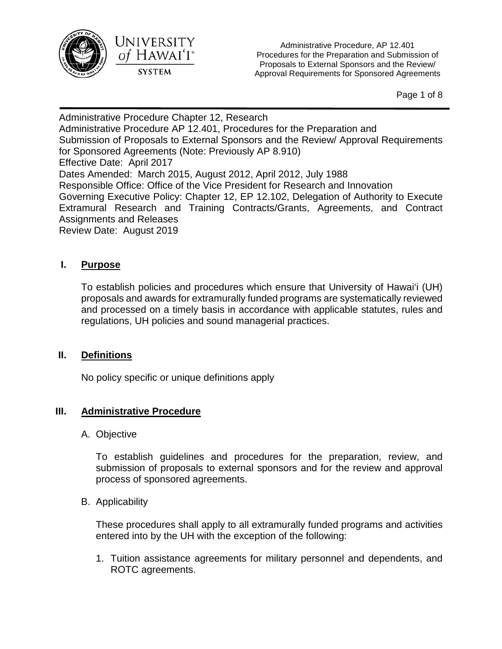



Administrative Procedure, AP 12.401 Procedures for the Preparation and Submission of Proposals to External Sponsors and the Review/ Approval Requirements for Sponsored Agreements

Page 1 of 8

Administrative Procedure Chapter 12, Research Administrative Procedure AP 12.401, Procedures for the Preparation and Submission of Proposals to External Sponsors and the Review/ Approval Requirements for Sponsored Agreements (Note: Previously AP 8.910) Effective Date: April 2017 Dates Amended: March 2015, August 2012, April 2012, July 1988 Responsible Office: Office of the Vice President for Research and Innovation Governing Executive Policy: Chapter 12, EP 12.102, Delegation of Authority to Execute Extramural Research and Training Contracts/Grants, Agreements, and Contract Assignments and Releases Review Date: August 2019

## **I. Purpose**

To establish policies and procedures which ensure that University of Hawai'i (UH) proposals and awards for extramurally funded programs are systematically reviewed and processed on a timely basis in accordance with applicable statutes, rules and regulations, UH policies and sound managerial practices.

## **II. Definitions**

No policy specific or unique definitions apply

## **III. Administrative Procedure**

A. Objective

To establish guidelines and procedures for the preparation, review, and submission of proposals to external sponsors and for the review and approval process of sponsored agreements.

B. Applicability

These procedures shall apply to all extramurally funded programs and activities entered into by the UH with the exception of the following:

1. Tuition assistance agreements for military personnel and dependents, and ROTC agreements.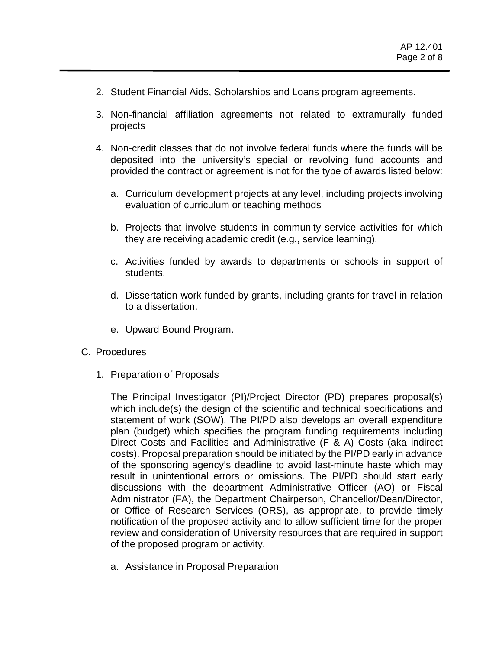- 2. Student Financial Aids, Scholarships and Loans program agreements.
- 3. Non-financial affiliation agreements not related to extramurally funded projects
- 4. Non-credit classes that do not involve federal funds where the funds will be deposited into the university's special or revolving fund accounts and provided the contract or agreement is not for the type of awards listed below:
	- a. Curriculum development projects at any level, including projects involving evaluation of curriculum or teaching methods
	- b. Projects that involve students in community service activities for which they are receiving academic credit (e.g., service learning).
	- c. Activities funded by awards to departments or schools in support of students.
	- d. Dissertation work funded by grants, including grants for travel in relation to a dissertation.
	- e. Upward Bound Program.
- C. Procedures
	- 1. Preparation of Proposals

The Principal Investigator (PI)/Project Director (PD) prepares proposal(s) which include(s) the design of the scientific and technical specifications and statement of work (SOW). The PI/PD also develops an overall expenditure plan (budget) which specifies the program funding requirements including Direct Costs and Facilities and Administrative (F & A) Costs (aka indirect costs). Proposal preparation should be initiated by the PI/PD early in advance of the sponsoring agency's deadline to avoid last-minute haste which may result in unintentional errors or omissions. The PI/PD should start early discussions with the department Administrative Officer (AO) or Fiscal Administrator (FA), the Department Chairperson, Chancellor/Dean/Director, or Office of Research Services (ORS), as appropriate, to provide timely notification of the proposed activity and to allow sufficient time for the proper review and consideration of University resources that are required in support of the proposed program or activity.

a. Assistance in Proposal Preparation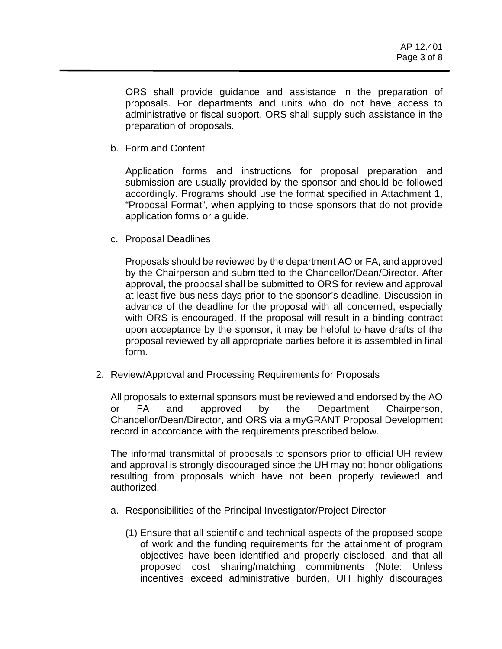ORS shall provide guidance and assistance in the preparation of proposals. For departments and units who do not have access to administrative or fiscal support, ORS shall supply such assistance in the preparation of proposals.

b. Form and Content

Application forms and instructions for proposal preparation and submission are usually provided by the sponsor and should be followed accordingly. Programs should use the format specified in Attachment 1, "Proposal Format", when applying to those sponsors that do not provide application forms or a guide.

c. Proposal Deadlines

Proposals should be reviewed by the department AO or FA, and approved by the Chairperson and submitted to the Chancellor/Dean/Director. After approval, the proposal shall be submitted to ORS for review and approval at least five business days prior to the sponsor's deadline. Discussion in advance of the deadline for the proposal with all concerned, especially with ORS is encouraged. If the proposal will result in a binding contract upon acceptance by the sponsor, it may be helpful to have drafts of the proposal reviewed by all appropriate parties before it is assembled in final form.

2. Review/Approval and Processing Requirements for Proposals

All proposals to external sponsors must be reviewed and endorsed by the AO or FA and approved by the Department Chairperson, Chancellor/Dean/Director, and ORS via a myGRANT Proposal Development record in accordance with the requirements prescribed below.

The informal transmittal of proposals to sponsors prior to official UH review and approval is strongly discouraged since the UH may not honor obligations resulting from proposals which have not been properly reviewed and authorized.

- a. Responsibilities of the Principal Investigator/Project Director
	- (1) Ensure that all scientific and technical aspects of the proposed scope of work and the funding requirements for the attainment of program objectives have been identified and properly disclosed, and that all proposed cost sharing/matching commitments (Note: Unless incentives exceed administrative burden, UH highly discourages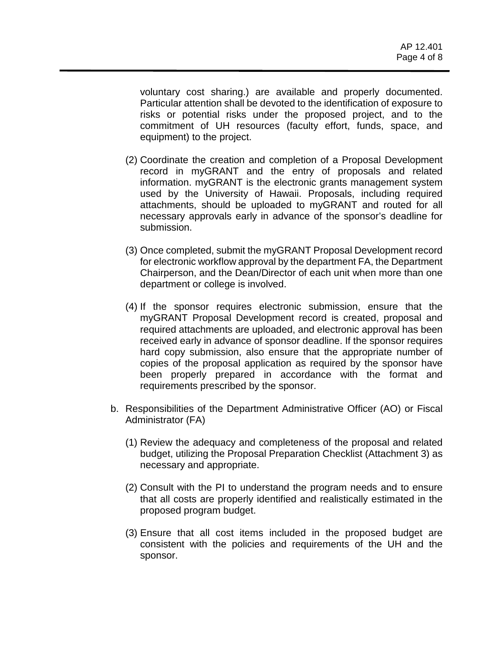voluntary cost sharing.) are available and properly documented. Particular attention shall be devoted to the identification of exposure to risks or potential risks under the proposed project, and to the commitment of UH resources (faculty effort, funds, space, and equipment) to the project.

- (2) Coordinate the creation and completion of a Proposal Development record in myGRANT and the entry of proposals and related information. myGRANT is the electronic grants management system used by the University of Hawaii. Proposals, including required attachments, should be uploaded to myGRANT and routed for all necessary approvals early in advance of the sponsor's deadline for submission.
- (3) Once completed, submit the myGRANT Proposal Development record for electronic workflow approval by the department FA, the Department Chairperson, and the Dean/Director of each unit when more than one department or college is involved.
- (4) If the sponsor requires electronic submission, ensure that the myGRANT Proposal Development record is created, proposal and required attachments are uploaded, and electronic approval has been received early in advance of sponsor deadline. If the sponsor requires hard copy submission, also ensure that the appropriate number of copies of the proposal application as required by the sponsor have been properly prepared in accordance with the format and requirements prescribed by the sponsor.
- b. Responsibilities of the Department Administrative Officer (AO) or Fiscal Administrator (FA)
	- (1) Review the adequacy and completeness of the proposal and related budget, utilizing the Proposal Preparation Checklist (Attachment 3) as necessary and appropriate.
	- (2) Consult with the PI to understand the program needs and to ensure that all costs are properly identified and realistically estimated in the proposed program budget.
	- (3) Ensure that all cost items included in the proposed budget are consistent with the policies and requirements of the UH and the sponsor.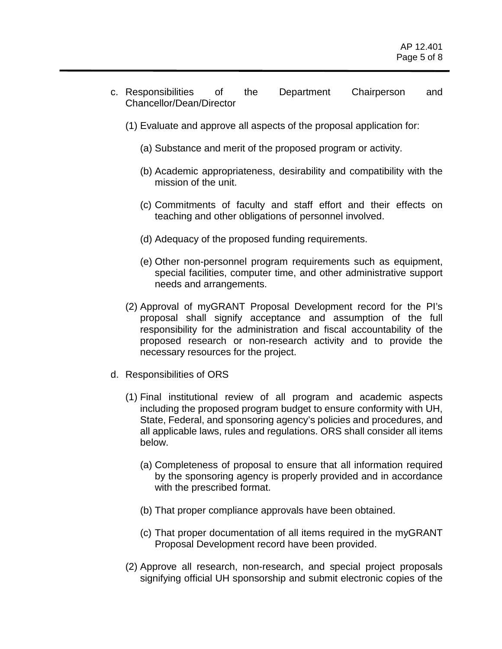- c. Responsibilities of the Department Chairperson and Chancellor/Dean/Director
	- (1) Evaluate and approve all aspects of the proposal application for:
		- (a) Substance and merit of the proposed program or activity.
		- (b) Academic appropriateness, desirability and compatibility with the mission of the unit.
		- (c) Commitments of faculty and staff effort and their effects on teaching and other obligations of personnel involved.
		- (d) Adequacy of the proposed funding requirements.
		- (e) Other non-personnel program requirements such as equipment, special facilities, computer time, and other administrative support needs and arrangements.
	- (2) Approval of myGRANT Proposal Development record for the PI's proposal shall signify acceptance and assumption of the full responsibility for the administration and fiscal accountability of the proposed research or non-research activity and to provide the necessary resources for the project.
- d. Responsibilities of ORS
	- (1) Final institutional review of all program and academic aspects including the proposed program budget to ensure conformity with UH, State, Federal, and sponsoring agency's policies and procedures, and all applicable laws, rules and regulations. ORS shall consider all items below.
		- (a) Completeness of proposal to ensure that all information required by the sponsoring agency is properly provided and in accordance with the prescribed format.
		- (b) That proper compliance approvals have been obtained.
		- (c) That proper documentation of all items required in the myGRANT Proposal Development record have been provided.
	- (2) Approve all research, non-research, and special project proposals signifying official UH sponsorship and submit electronic copies of the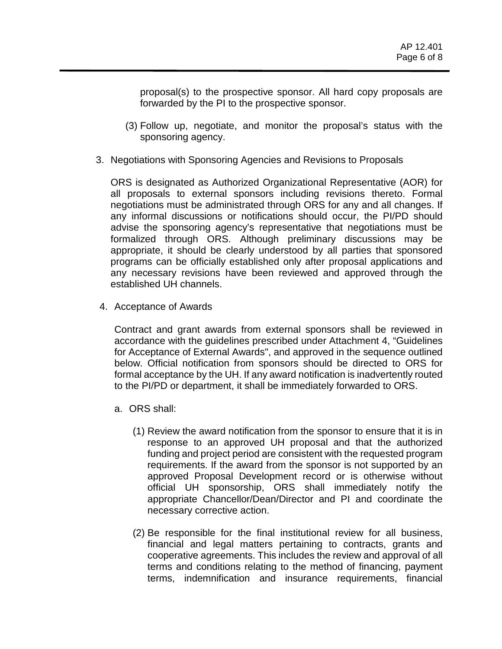proposal(s) to the prospective sponsor. All hard copy proposals are forwarded by the PI to the prospective sponsor.

- (3) Follow up, negotiate, and monitor the proposal's status with the sponsoring agency.
- 3. Negotiations with Sponsoring Agencies and Revisions to Proposals

ORS is designated as Authorized Organizational Representative (AOR) for all proposals to external sponsors including revisions thereto. Formal negotiations must be administrated through ORS for any and all changes. If any informal discussions or notifications should occur, the PI/PD should advise the sponsoring agency's representative that negotiations must be formalized through ORS. Although preliminary discussions may be appropriate, it should be clearly understood by all parties that sponsored programs can be officially established only after proposal applications and any necessary revisions have been reviewed and approved through the established UH channels.

4. Acceptance of Awards

Contract and grant awards from external sponsors shall be reviewed in accordance with the guidelines prescribed under Attachment 4, "Guidelines for Acceptance of External Awards", and approved in the sequence outlined below. Official notification from sponsors should be directed to ORS for formal acceptance by the UH. If any award notification is inadvertently routed to the PI/PD or department, it shall be immediately forwarded to ORS.

- a. ORS shall:
	- (1) Review the award notification from the sponsor to ensure that it is in response to an approved UH proposal and that the authorized funding and project period are consistent with the requested program requirements. If the award from the sponsor is not supported by an approved Proposal Development record or is otherwise without official UH sponsorship, ORS shall immediately notify the appropriate Chancellor/Dean/Director and PI and coordinate the necessary corrective action.
	- (2) Be responsible for the final institutional review for all business, financial and legal matters pertaining to contracts, grants and cooperative agreements. This includes the review and approval of all terms and conditions relating to the method of financing, payment terms, indemnification and insurance requirements, financial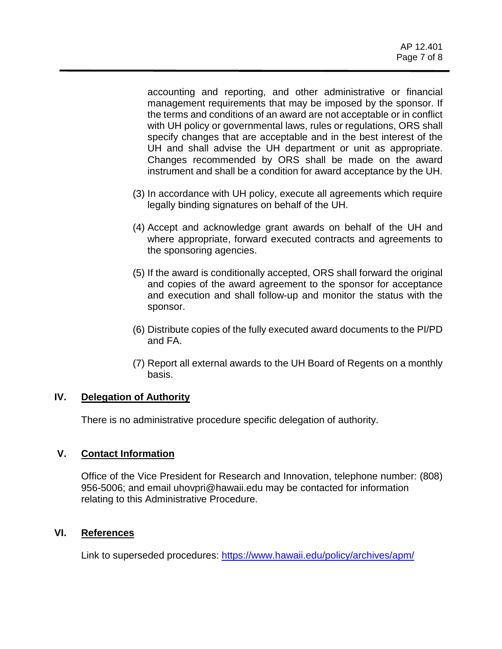accounting and reporting, and other administrative or financial management requirements that may be imposed by the sponsor. If the terms and conditions of an award are not acceptable or in conflict with UH policy or governmental laws, rules or regulations, ORS shall specify changes that are acceptable and in the best interest of the UH and shall advise the UH department or unit as appropriate. Changes recommended by ORS shall be made on the award instrument and shall be a condition for award acceptance by the UH.

- (3) In accordance with UH policy, execute all agreements which require legally binding signatures on behalf of the UH.
- (4) Accept and acknowledge grant awards on behalf of the UH and where appropriate, forward executed contracts and agreements to the sponsoring agencies.
- (5) If the award is conditionally accepted, ORS shall forward the original and copies of the award agreement to the sponsor for acceptance and execution and shall follow-up and monitor the status with the sponsor.
- (6) Distribute copies of the fully executed award documents to the PI/PD and FA.
- (7) Report all external awards to the UH Board of Regents on a monthly basis.

## **IV. Delegation of Authority**

There is no administrative procedure specific delegation of authority.

#### **V. Contact Information**

Office of the Vice President for Research and Innovation, telephone number: (808) 956-5006; and email uhovpri@hawaii.edu may be contacted for information relating to this Administrative Procedure.

#### **VI. References**

Link to superseded procedures:<https://www.hawaii.edu/policy/archives/apm/>